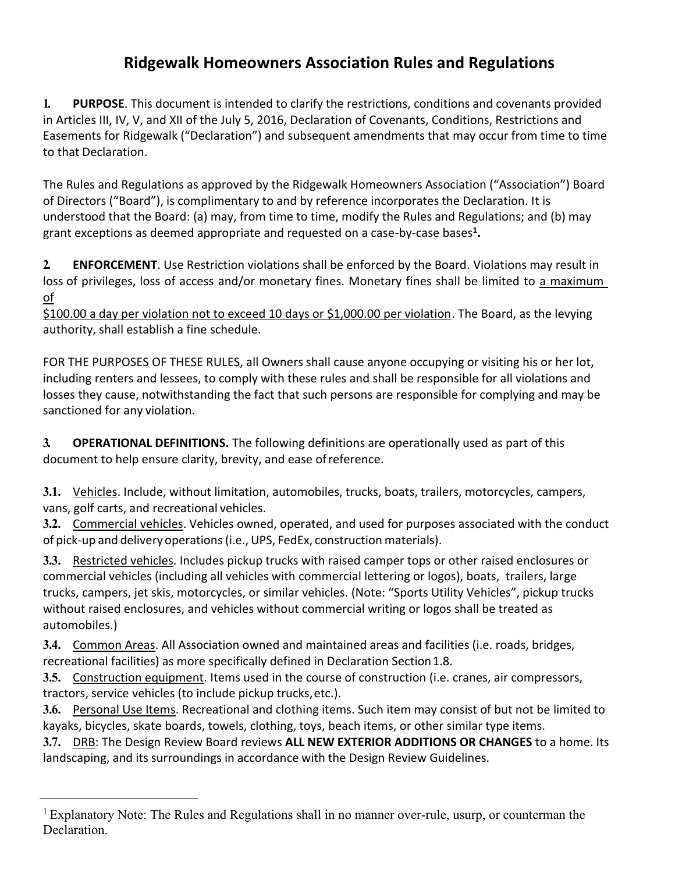# **Ridgewalk Homeowners Association Rules and Regulations**

**1. PURPOSE**. This document is intended to clarify the restrictions, conditions and covenants provided in Articles III, IV, V, and XII of the July 5, 2016, Declaration of Covenants, Conditions, Restrictions and Easements for Ridgewalk ("Declaration") and subsequent amendments that may occur from time to time to that Declaration.

The Rules and Regulations as approved by the Ridgewalk Homeowners Association ("Association") Board of Directors ("Board"), is complimentary to and by reference incorporates the Declaration. It is understood that the Board: (a) may, from time to time, modify the Rules and Regulations; and (b) may grant exceptions as deemed appropriate and requested on a case-by-case bases**<sup>1</sup> .**

**2. ENFORCEMENT**. Use Restriction violations shall be enforced by the Board. Violations may result in loss of privileges, loss of access and/or monetary fines. Monetary fines shall be limited to a maximum of

\$100.00 a day per violation not to exceed 10 days or \$1,000.00 per violation. The Board, as the levying authority, shall establish a fine schedule.

FOR THE PURPOSES OF THESE RULES, all Owners shall cause anyone occupying or visiting his or her lot, including renters and lessees, to comply with these rules and shall be responsible for all violations and losses they cause, notwithstanding the fact that such persons are responsible for complying and may be sanctioned for any violation.

**3. OPERATIONAL DEFINITIONS.** The following definitions are operationally used as part of this document to help ensure clarity, brevity, and ease ofreference.

**3.1.** Vehicles. Include, without limitation, automobiles, trucks, boats, trailers, motorcycles, campers, vans, golf carts, and recreational vehicles.

**3.2.** Commercial vehicles. Vehicles owned, operated, and used for purposes associated with the conduct of pick-up and delivery operations(i.e.,UPS, FedEx, construction materials).

**3.3.** Restricted vehicles. Includes pickup trucks with raised camper tops or other raised enclosures or commercial vehicles (including all vehicles with commercial lettering or logos), boats, trailers, large trucks, campers, jet skis, motorcycles, or similar vehicles. (Note: "Sports Utility Vehicles", pickup trucks without raised enclosures, and vehicles without commercial writing or logos shall be treated as automobiles.)

**3.4.** Common Areas. All Association owned and maintained areas and facilities (i.e. roads, bridges, recreational facilities) as more specifically defined in Declaration Section1.8.

**3.5.** Construction equipment. Items used in the course of construction (i.e. cranes, air compressors, tractors, service vehicles (to include pickup trucks,etc.).

**3.6.** Personal Use Items. Recreational and clothing items. Such item may consist of but not be limited to kayaks, bicycles, skate boards, towels, clothing, toys, beach items, or other similar type items.

**3.7.** DRB: The Design Review Board reviews **ALL NEW EXTERIOR ADDITIONS OR CHANGES** to a home. Its landscaping, and its surroundings in accordance with the Design Review Guidelines.

<sup>&</sup>lt;sup>1</sup> Explanatory Note: The Rules and Regulations shall in no manner over-rule, usurp, or counterman the Declaration.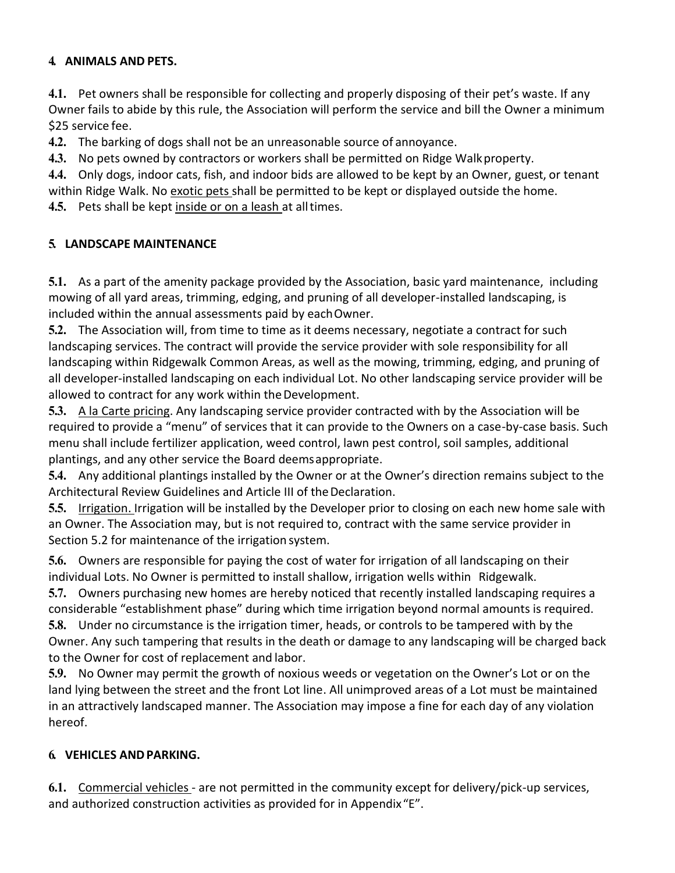# **4. ANIMALS AND PETS.**

**4.1.** Pet owners shall be responsible for collecting and properly disposing of their pet's waste. If any Owner fails to abide by this rule, the Association will perform the service and bill the Owner a minimum \$25 service fee.

**4.2.** The barking of dogs shall not be an unreasonable source of annoyance.

**4.3.** No pets owned by contractors or workers shall be permitted on Ridge Walkproperty.

**4.4.** Only dogs, indoor cats, fish, and indoor bids are allowed to be kept by an Owner, guest, or tenant within Ridge Walk. No exotic pets shall be permitted to be kept or displayed outside the home.

**4.5.** Pets shall be kept inside or on a leash at alltimes.

# **5. LANDSCAPE MAINTENANCE**

**5.1.** As a part of the amenity package provided by the Association, basic yard maintenance, including mowing of all yard areas, trimming, edging, and pruning of all developer-installed landscaping, is included within the annual assessments paid by eachOwner.

**5.2.** The Association will, from time to time as it deems necessary, negotiate a contract for such landscaping services. The contract will provide the service provider with sole responsibility for all landscaping within Ridgewalk Common Areas, as well as the mowing, trimming, edging, and pruning of all developer-installed landscaping on each individual Lot. No other landscaping service provider will be allowed to contract for any work within the Development.

**5.3.** A la Carte pricing. Any landscaping service provider contracted with by the Association will be required to provide a "menu" of services that it can provide to the Owners on a case-by-case basis. Such menu shall include fertilizer application, weed control, lawn pest control, soil samples, additional plantings, and any other service the Board deemsappropriate.

**5.4.** Any additional plantings installed by the Owner or at the Owner's direction remains subject to the Architectural Review Guidelines and Article III of the Declaration.

**5.5.** Irrigation. Irrigation will be installed by the Developer prior to closing on each new home sale with an Owner. The Association may, but is not required to, contract with the same service provider in Section 5.2 for maintenance of the irrigation system.

**5.6.** Owners are responsible for paying the cost of water for irrigation of all landscaping on their individual Lots. No Owner is permitted to install shallow, irrigation wells within Ridgewalk.

**5.7.** Owners purchasing new homes are hereby noticed that recently installed landscaping requires a considerable "establishment phase" during which time irrigation beyond normal amounts is required.

**5.8.** Under no circumstance is the irrigation timer, heads, or controls to be tampered with by the Owner. Any such tampering that results in the death or damage to any landscaping will be charged back to the Owner for cost of replacement and labor.

**5.9.** No Owner may permit the growth of noxious weeds or vegetation on the Owner's Lot or on the land lying between the street and the front Lot line. All unimproved areas of a Lot must be maintained in an attractively landscaped manner. The Association may impose a fine for each day of any violation hereof.

# **6. VEHICLES ANDPARKING.**

**6.1.** Commercial vehicles - are not permitted in the community except for delivery/pick-up services, and authorized construction activities as provided for in Appendix"E".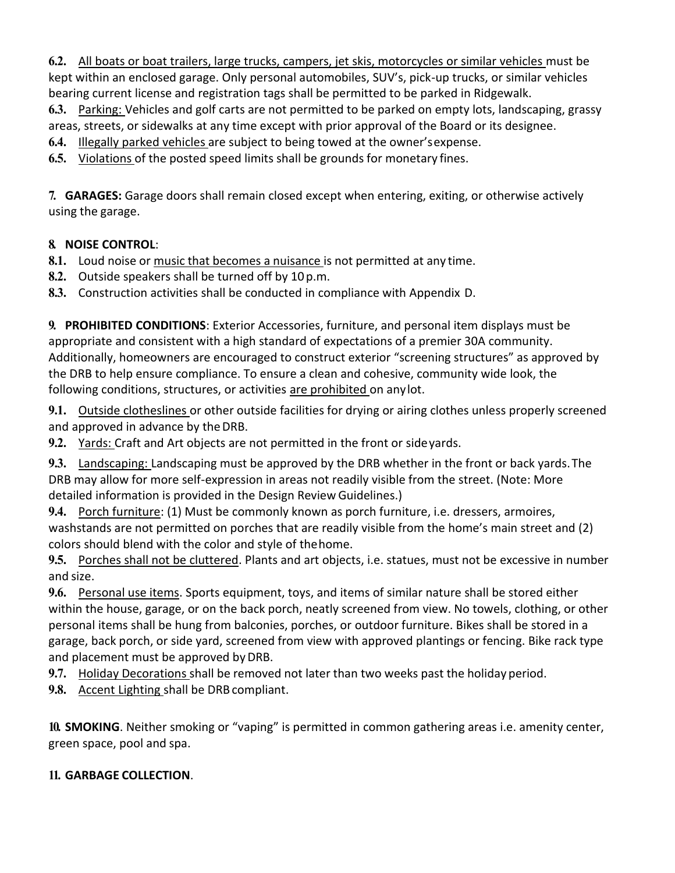**6.2.** All boats or boat trailers, large trucks, campers, jet skis, motorcycles or similar vehicles must be kept within an enclosed garage. Only personal automobiles, SUV's, pick-up trucks, or similar vehicles bearing current license and registration tags shall be permitted to be parked in Ridgewalk.

**6.3.** Parking: Vehicles and golf carts are not permitted to be parked on empty lots, landscaping, grassy areas, streets, or sidewalks at any time except with prior approval of the Board or its designee.

**6.4.** Illegally parked vehicles are subject to being towed at the owner'sexpense.

**6.5.** Violations of the posted speed limits shall be grounds for monetary fines.

**7. GARAGES:** Garage doors shall remain closed except when entering, exiting, or otherwise actively using the garage.

# **8. NOISE CONTROL**:

**8.1.** Loud noise or music that becomes a nuisance is not permitted at any time.

**8.2.** Outside speakers shall be turned off by 10p.m.

**8.3.** Construction activities shall be conducted in compliance with Appendix D.

**9. PROHIBITED CONDITIONS**: Exterior Accessories, furniture, and personal item displays must be appropriate and consistent with a high standard of expectations of a premier 30A community. Additionally, homeowners are encouraged to construct exterior "screening structures" as approved by the DRB to help ensure compliance. To ensure a clean and cohesive, community wide look, the following conditions, structures, or activities are prohibited on anylot.

**9.1.** Outside clotheslines or other outside facilities for drying or airing clothes unless properly screened and approved in advance by theDRB.

**9.2.** Yards: Craft and Art objects are not permitted in the front or sideyards.

**9.3.** Landscaping: Landscaping must be approved by the DRB whether in the front or back yards.The DRB may allow for more self-expression in areas not readily visible from the street. (Note: More detailed information is provided in the Design Review Guidelines.)

**9.4.** Porch furniture: (1) Must be commonly known as porch furniture, i.e. dressers, armoires, washstands are not permitted on porches that are readily visible from the home's main street and (2) colors should blend with the color and style of thehome.

**9.5.** Porches shall not be cluttered. Plants and art objects, i.e. statues, must not be excessive in number and size.

**9.6.** Personal use items. Sports equipment, toys, and items of similar nature shall be stored either within the house, garage, or on the back porch, neatly screened from view. No towels, clothing, or other personal items shall be hung from balconies, porches, or outdoor furniture. Bikes shall be stored in a garage, back porch, or side yard, screened from view with approved plantings or fencing. Bike rack type and placement must be approved by DRB.

**9.7.** Holiday Decorations shall be removed not later than two weeks past the holiday period.

9.8. Accent Lighting shall be DRB compliant.

**10. SMOKING**. Neither smoking or "vaping" is permitted in common gathering areas i.e. amenity center, green space, pool and spa.

# **11. GARBAGE COLLECTION**.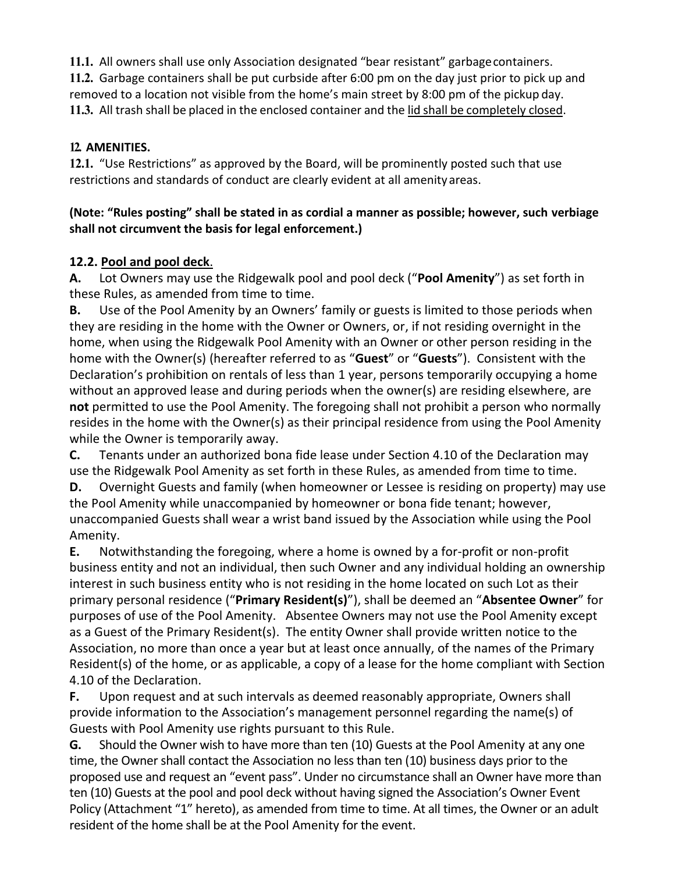**11.1.** All owners shall use only Association designated "bear resistant" garbagecontainers. **11.2.** Garbage containers shall be put curbside after 6:00 pm on the day just prior to pick up and removed to a location not visible from the home's main street by 8:00 pm of the pickup day. **11.3.** All trash shall be placed in the enclosed container and the lid shall be completely closed.

# **12. AMENITIES.**

**12.1.** "Use Restrictions" as approved by the Board, will be prominently posted such that use restrictions and standards of conduct are clearly evident at all amenity areas.

# **(Note: "Rules posting" shall be stated in as cordial a manner as possible; however, such verbiage shall not circumvent the basis for legal enforcement.)**

# **12.2. Pool and pool deck**.

**A.** Lot Owners may use the Ridgewalk pool and pool deck ("**Pool Amenity**") as set forth in these Rules, as amended from time to time.

**B.** Use of the Pool Amenity by an Owners' family or guests is limited to those periods when they are residing in the home with the Owner or Owners, or, if not residing overnight in the home, when using the Ridgewalk Pool Amenity with an Owner or other person residing in the home with the Owner(s) (hereafter referred to as "**Guest**" or "**Guests**"). Consistent with the Declaration's prohibition on rentals of less than 1 year, persons temporarily occupying a home without an approved lease and during periods when the owner(s) are residing elsewhere, are **not** permitted to use the Pool Amenity. The foregoing shall not prohibit a person who normally resides in the home with the Owner(s) as their principal residence from using the Pool Amenity while the Owner is temporarily away.

**C.** Tenants under an authorized bona fide lease under Section 4.10 of the Declaration may use the Ridgewalk Pool Amenity as set forth in these Rules, as amended from time to time. **D.** Overnight Guests and family (when homeowner or Lessee is residing on property) may use the Pool Amenity while unaccompanied by homeowner or bona fide tenant; however,

unaccompanied Guests shall wear a wrist band issued by the Association while using the Pool Amenity.

**E.** Notwithstanding the foregoing, where a home is owned by a for-profit or non-profit business entity and not an individual, then such Owner and any individual holding an ownership interest in such business entity who is not residing in the home located on such Lot as their primary personal residence ("**Primary Resident(s)**"), shall be deemed an "**Absentee Owner**" for purposes of use of the Pool Amenity. Absentee Owners may not use the Pool Amenity except as a Guest of the Primary Resident(s). The entity Owner shall provide written notice to the Association, no more than once a year but at least once annually, of the names of the Primary Resident(s) of the home, or as applicable, a copy of a lease for the home compliant with Section 4.10 of the Declaration.

**F.** Upon request and at such intervals as deemed reasonably appropriate, Owners shall provide information to the Association's management personnel regarding the name(s) of Guests with Pool Amenity use rights pursuant to this Rule.

**G.** Should the Owner wish to have more than ten (10) Guests at the Pool Amenity at any one time, the Owner shall contact the Association no less than ten (10) business days prior to the proposed use and request an "event pass". Under no circumstance shall an Owner have more than ten (10) Guests at the pool and pool deck without having signed the Association's Owner Event Policy (Attachment "1" hereto), as amended from time to time. At all times, the Owner or an adult resident of the home shall be at the Pool Amenity for the event.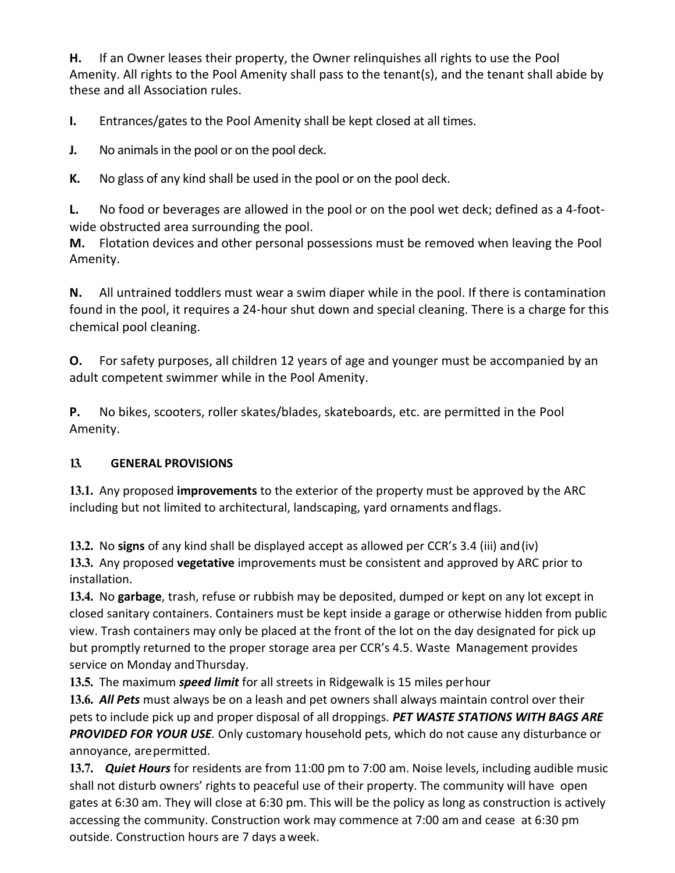**H.** If an Owner leases their property, the Owner relinquishes all rights to use the Pool Amenity. All rights to the Pool Amenity shall pass to the tenant(s), and the tenant shall abide by these and all Association rules.

**I.** Entrances/gates to the Pool Amenity shall be kept closed at all times.

**J.** No animals in the pool or on the pool deck.

**K.** No glass of any kind shall be used in the pool or on the pool deck.

**L.** No food or beverages are allowed in the pool or on the pool wet deck; defined as a 4-footwide obstructed area surrounding the pool.

**M.** Flotation devices and other personal possessions must be removed when leaving the Pool Amenity.

**N.** All untrained toddlers must wear a swim diaper while in the pool. If there is contamination found in the pool, it requires a 24-hour shut down and special cleaning. There is a charge for this chemical pool cleaning.

**O.** For safety purposes, all children 12 years of age and younger must be accompanied by an adult competent swimmer while in the Pool Amenity.

**P.** No bikes, scooters, roller skates/blades, skateboards, etc. are permitted in the Pool Amenity.

# **13. GENERAL PROVISIONS**

**13.1.** Any proposed **improvements** to the exterior of the property must be approved by the ARC including but not limited to architectural, landscaping, yard ornaments andflags.

**13.2.** No **signs** of any kind shall be displayed accept as allowed per CCR's 3.4 (iii) and(iv)

**13.3.** Any proposed **vegetative** improvements must be consistent and approved by ARC prior to installation.

**13.4.** No **garbage**, trash, refuse or rubbish may be deposited, dumped or kept on any lot except in closed sanitary containers. Containers must be kept inside a garage or otherwise hidden from public view. Trash containers may only be placed at the front of the lot on the day designated for pick up but promptly returned to the proper storage area per CCR's 4.5. Waste Management provides service on Monday andThursday.

**13.5.** The maximum *speed limit* for all streets in Ridgewalk is 15 miles perhour

**13.6.** *All Pets* must always be on a leash and pet owners shall always maintain control over their pets to include pick up and proper disposal of all droppings. *PET WASTE STATIONS WITH BAGS ARE PROVIDED FOR YOUR USE.* Only customary household pets, which do not cause any disturbance or annoyance, arepermitted.

**13.7.** *Quiet Hours* for residents are from 11:00 pm to 7:00 am. Noise levels, including audible music shall not disturb owners' rights to peaceful use of their property. The community will have open gates at 6:30 am. They will close at 6:30 pm. This will be the policy as long as construction is actively accessing the community. Construction work may commence at 7:00 am and cease at 6:30 pm outside. Construction hours are 7 days aweek.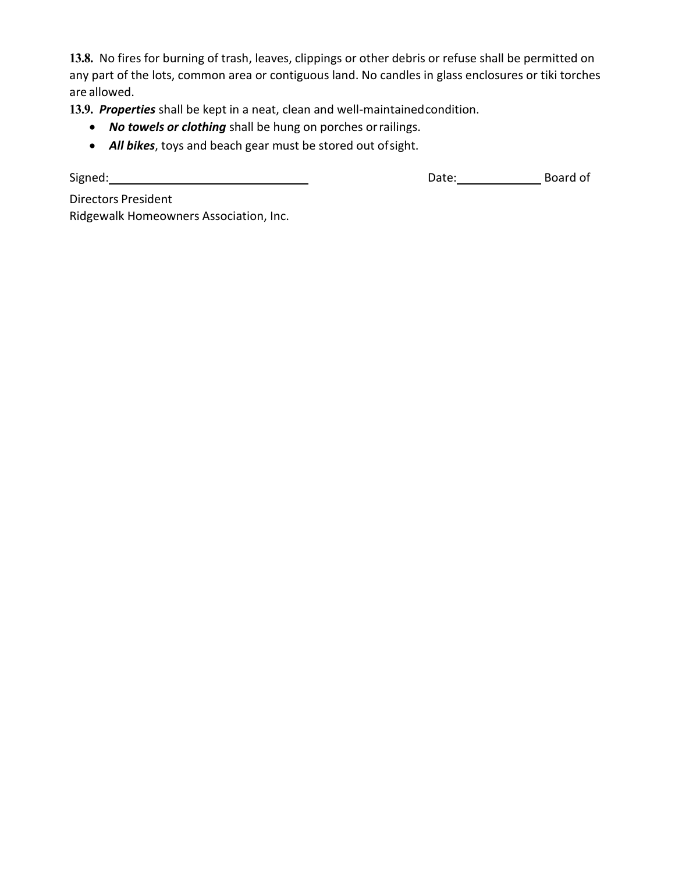**13.8.** No fires for burning of trash, leaves, clippings or other debris or refuse shall be permitted on any part of the lots, common area or contiguous land. No candles in glass enclosures or tiki torches are allowed.

**13.9.** *Properties* shall be kept in a neat, clean and well-maintainedcondition.

- *No towels or clothing* shall be hung on porches orrailings.
- *All bikes*, toys and beach gear must be stored out ofsight.

Signed: Board of Board of Content of Content of Content of Content of Content of Content of Content of Content of Content of Content of Content of Content of Content of Content of Content of Content of Content of Content o

Directors President Ridgewalk Homeowners Association, Inc.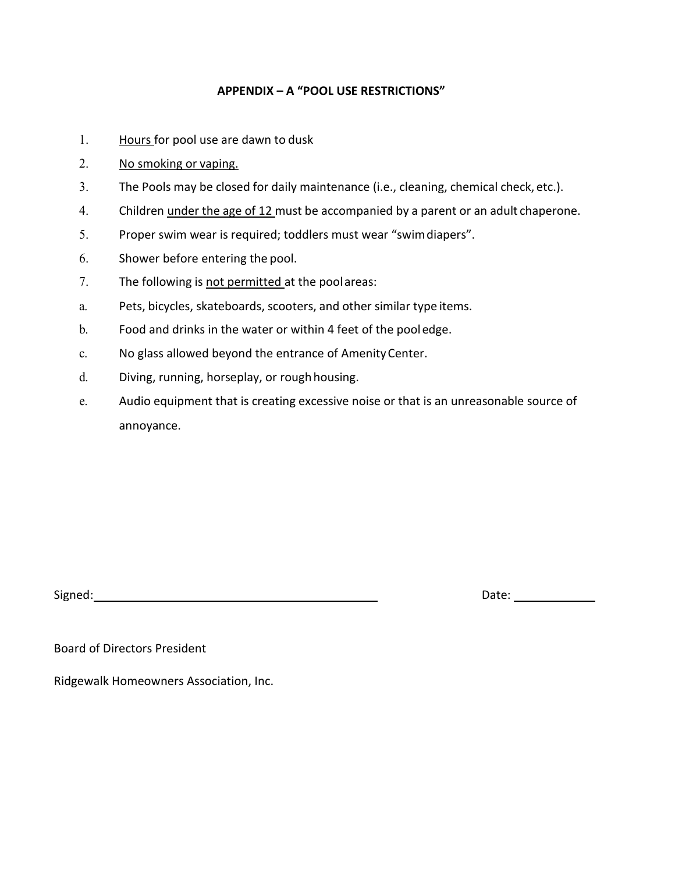### **APPENDIX – A "POOL USE RESTRICTIONS"**

- 1. Hours for pool use are dawn to dusk
- 2. No smoking or vaping.
- 3. The Pools may be closed for daily maintenance (i.e., cleaning, chemical check, etc.).
- 4. Children under the age of 12 must be accompanied by a parent or an adult chaperone.
- 5. Proper swim wear is required; toddlers must wear "swimdiapers".
- 6. Shower before entering the pool.
- 7. The following is not permitted at the poolareas:
- a. Pets, bicycles, skateboards, scooters, and other similar type items.
- b. Food and drinks in the water or within 4 feet of the pooledge.
- c. No glass allowed beyond the entrance of AmenityCenter.
- d. Diving, running, horseplay, or rough housing.
- e. Audio equipment that is creating excessive noise or that is an unreasonable source of annoyance.

Signed: Natural Contract of Contract Contract Contract Contract Contract Contract Contract Contract Contract Contract Contract Contract Contract Contract Contract Contract Contract Contract Contract Contract Contract Contr

Board of Directors President

Ridgewalk Homeowners Association, Inc.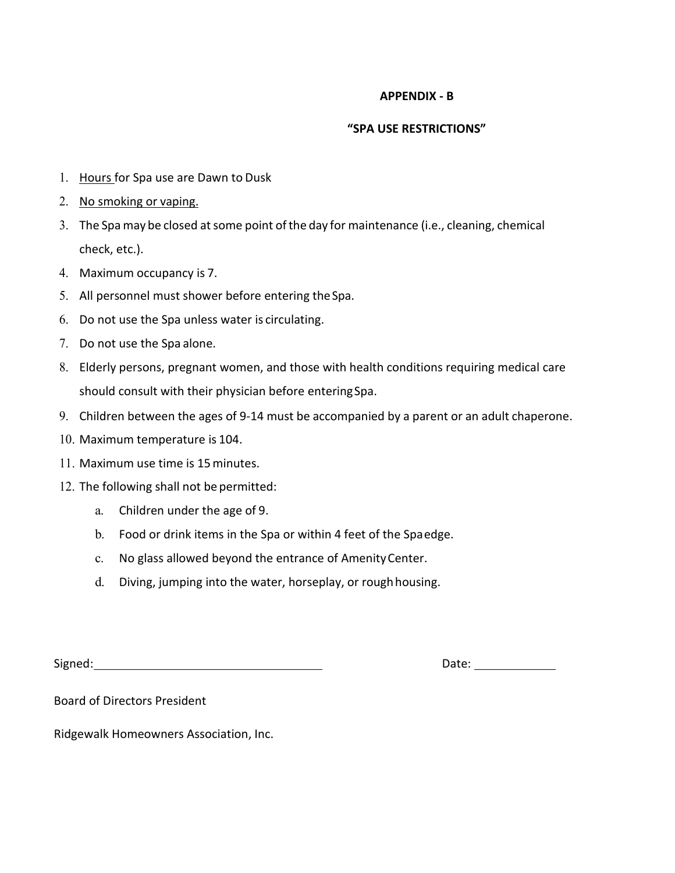#### **APPENDIX - B**

#### **"SPA USE RESTRICTIONS"**

- 1. Hours for Spa use are Dawn to Dusk
- 2. No smoking or vaping.
- 3. The Spa may be closed at some point of the day for maintenance (i.e., cleaning, chemical check, etc.).
- 4. Maximum occupancy is 7.
- 5. All personnel must shower before entering theSpa.
- 6. Do not use the Spa unless water is circulating.
- 7. Do not use the Spa alone.
- 8. Elderly persons, pregnant women, and those with health conditions requiring medical care should consult with their physician before enteringSpa.
- 9. Children between the ages of 9-14 must be accompanied by a parent or an adult chaperone.
- 10. Maximum temperature is 104.
- 11. Maximum use time is 15minutes.
- 12. The following shall not be permitted:
	- a. Children under the age of 9.
	- b. Food or drink items in the Spa or within 4 feet of the Spaedge.
	- c. No glass allowed beyond the entrance of AmenityCenter.
	- d. Diving, jumping into the water, horseplay, or roughhousing.

Signed: Signed: Signed: Signed: Signed: Signed: Signed: Signed: Signed: Signed: Signed: Signed: Signed: Signed: Signed: Signed: Signed: Signed: Signed: Signed: Signed: Signed: Signed: Signed: Signed: Signed: Signed: Signed

Board of Directors President

Ridgewalk Homeowners Association, Inc.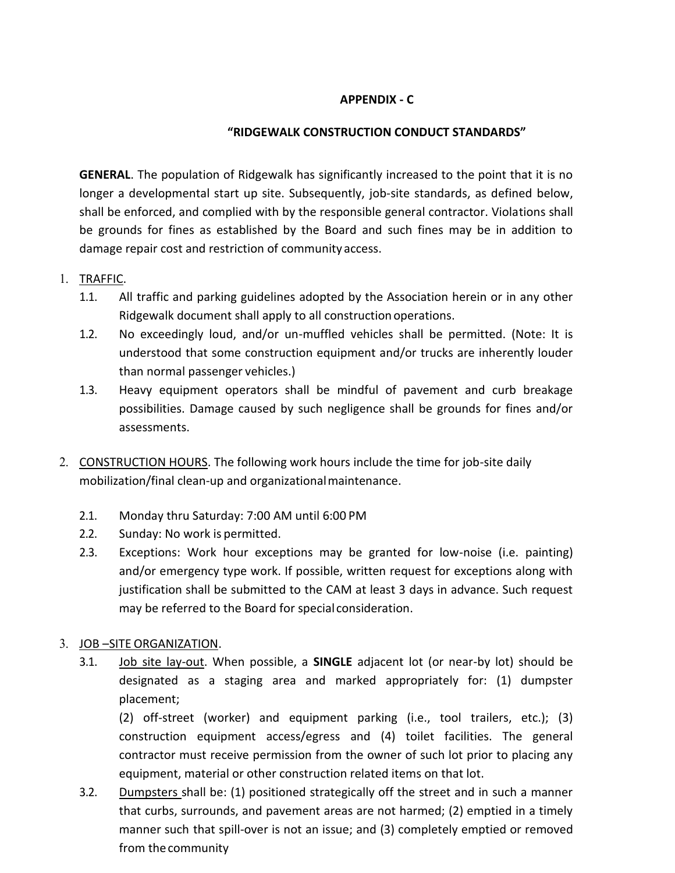### **APPENDIX - C**

### **"RIDGEWALK CONSTRUCTION CONDUCT STANDARDS"**

**GENERAL**. The population of Ridgewalk has significantly increased to the point that it is no longer a developmental start up site. Subsequently, job-site standards, as defined below, shall be enforced, and complied with by the responsible general contractor. Violations shall be grounds for fines as established by the Board and such fines may be in addition to damage repair cost and restriction of community access.

### 1. TRAFFIC.

- 1.1. All traffic and parking guidelines adopted by the Association herein or in any other Ridgewalk document shall apply to all constructionoperations.
- 1.2. No exceedingly loud, and/or un-muffled vehicles shall be permitted. (Note: It is understood that some construction equipment and/or trucks are inherently louder than normal passenger vehicles.)
- 1.3. Heavy equipment operators shall be mindful of pavement and curb breakage possibilities. Damage caused by such negligence shall be grounds for fines and/or assessments.
- 2. CONSTRUCTION HOURS. The following work hours include the time for job-site daily mobilization/final clean-up and organizationalmaintenance.
	- 2.1. Monday thru Saturday: 7:00 AM until 6:00 PM
	- 2.2. Sunday: No work is permitted.
	- 2.3. Exceptions: Work hour exceptions may be granted for low-noise (i.e. painting) and/or emergency type work. If possible, written request for exceptions along with justification shall be submitted to the CAM at least 3 days in advance. Such request may be referred to the Board for special consideration.

### 3. JOB –SITE ORGANIZATION.

3.1. Job site lay-out. When possible, a **SINGLE** adjacent lot (or near-by lot) should be designated as a staging area and marked appropriately for: (1) dumpster placement;

(2) off-street (worker) and equipment parking (i.e., tool trailers, etc.); (3) construction equipment access/egress and (4) toilet facilities. The general contractor must receive permission from the owner of such lot prior to placing any equipment, material or other construction related items on that lot.

3.2. Dumpsters shall be: (1) positioned strategically off the street and in such a manner that curbs, surrounds, and pavement areas are not harmed; (2) emptied in a timely manner such that spill-over is not an issue; and (3) completely emptied or removed from the community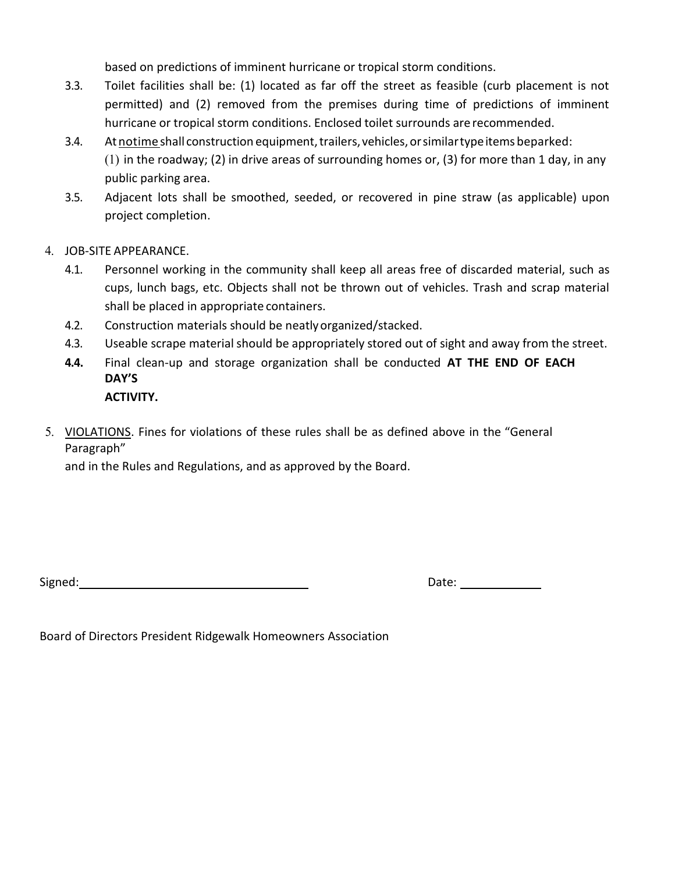based on predictions of imminent hurricane or tropical storm conditions.

- 3.3. Toilet facilities shall be: (1) located as far off the street as feasible (curb placement is not permitted) and (2) removed from the premises during time of predictions of imminent hurricane or tropical storm conditions. Enclosed toilet surrounds are recommended.
- 3.4. At notime shall construction equipment, trailers, vehicles, or similar type items beparked: (1) in the roadway; (2) in drive areas of surrounding homes or, (3) for more than 1 day, in any public parking area.
- 3.5. Adjacent lots shall be smoothed, seeded, or recovered in pine straw (as applicable) upon project completion.
- 4. JOB-SITE APPEARANCE.
	- 4.1. Personnel working in the community shall keep all areas free of discarded material, such as cups, lunch bags, etc. Objects shall not be thrown out of vehicles. Trash and scrap material shall be placed in appropriate containers.
	- 4.2. Construction materials should be neatlyorganized/stacked.
	- 4.3. Useable scrape material should be appropriately stored out of sight and away from the street.
	- **4.4.** Final clean-up and storage organization shall be conducted **AT THE END OF EACH DAY'S**
		- **ACTIVITY.**
- 5. VIOLATIONS. Fines for violations of these rules shall be as defined above in the "General Paragraph"

and in the Rules and Regulations, and as approved by the Board.

Signed:

|--|

Board of Directors President Ridgewalk Homeowners Association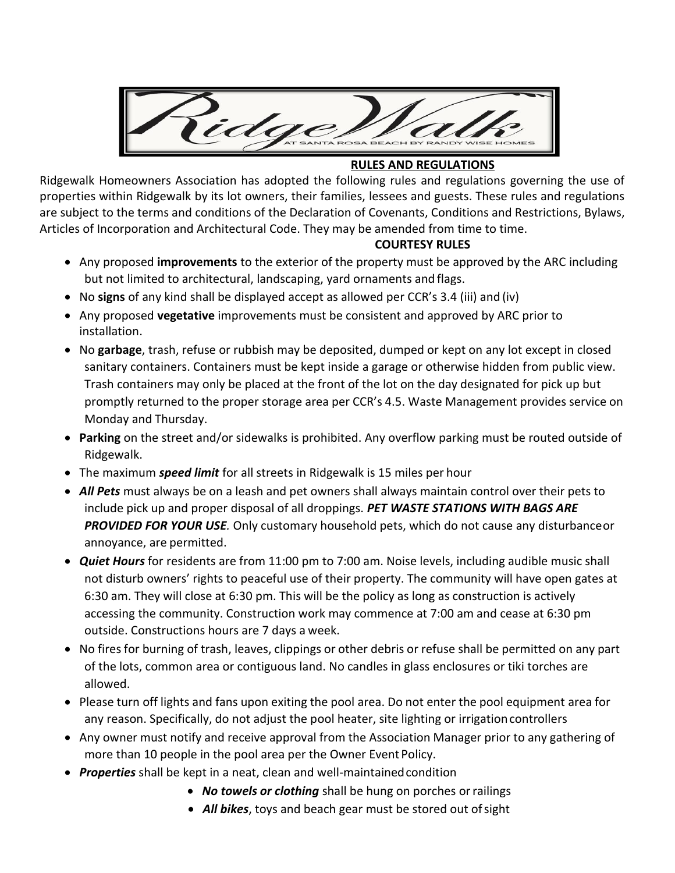

### **RULES AND REGULATIONS**

Ridgewalk Homeowners Association has adopted the following rules and regulations governing the use of properties within Ridgewalk by its lot owners, their families, lessees and guests. These rules and regulations are subject to the terms and conditions of the Declaration of Covenants, Conditions and Restrictions, Bylaws, Articles of Incorporation and Architectural Code. They may be amended from time to time.

### **COURTESY RULES**

- Any proposed **improvements** to the exterior of the property must be approved by the ARC including but not limited to architectural, landscaping, yard ornaments and flags.
- No **signs** of any kind shall be displayed accept as allowed per CCR's 3.4 (iii) and (iv)
- Any proposed **vegetative** improvements must be consistent and approved by ARC prior to installation.
- No **garbage**, trash, refuse or rubbish may be deposited, dumped or kept on any lot except in closed sanitary containers. Containers must be kept inside a garage or otherwise hidden from public view. Trash containers may only be placed at the front of the lot on the day designated for pick up but promptly returned to the proper storage area per CCR's 4.5. Waste Management provides service on Monday and Thursday.
- **Parking** on the street and/or sidewalks is prohibited. Any overflow parking must be routed outside of Ridgewalk.
- The maximum *speed limit* for all streets in Ridgewalk is 15 miles per hour
- *All Pets* must always be on a leash and pet owners shall always maintain control over their pets to include pick up and proper disposal of all droppings. *PET WASTE STATIONS WITH BAGS ARE PROVIDED FOR YOUR USE.* Only customary household pets, which do not cause any disturbanceor annoyance, are permitted.
- *Quiet Hours* for residents are from 11:00 pm to 7:00 am. Noise levels, including audible music shall not disturb owners' rights to peaceful use of their property. The community will have open gates at 6:30 am. They will close at 6:30 pm. This will be the policy as long as construction is actively accessing the community. Construction work may commence at 7:00 am and cease at 6:30 pm outside. Constructions hours are 7 days a week.
- No fires for burning of trash, leaves, clippings or other debris or refuse shall be permitted on any part of the lots, common area or contiguous land. No candles in glass enclosures or tiki torches are allowed.
- Please turn off lights and fans upon exiting the pool area. Do not enter the pool equipment area for any reason. Specifically, do not adjust the pool heater, site lighting or irrigationcontrollers
- Any owner must notify and receive approval from the Association Manager prior to any gathering of more than 10 people in the pool area per the Owner Event Policy.
- *Properties* shall be kept in a neat, clean and well-maintainedcondition
	- *No towels or clothing* shall be hung on porches or railings
	- All bikes, toys and beach gear must be stored out of sight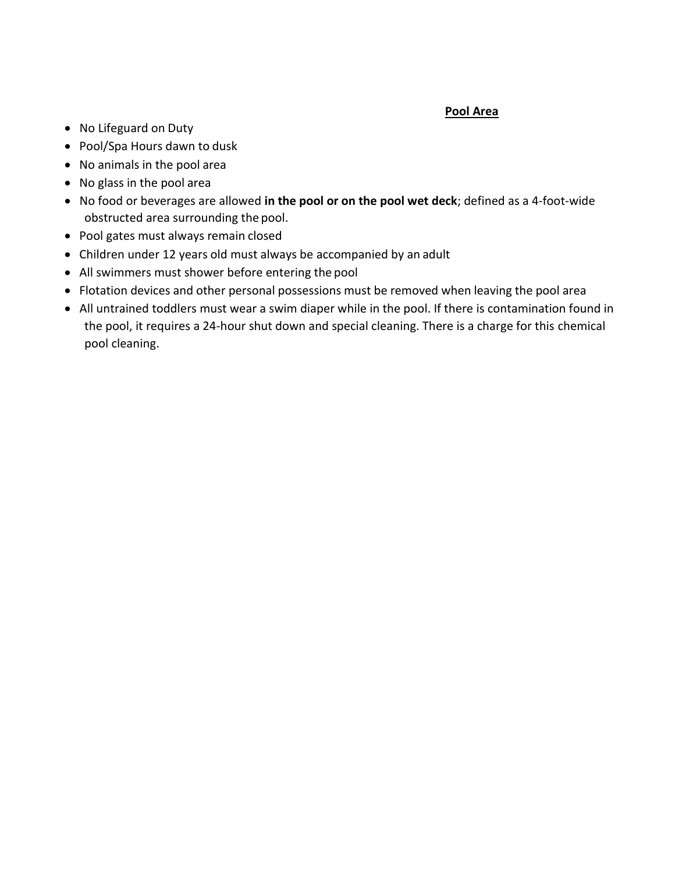### **Pool Area**

- No Lifeguard on Duty
- Pool/Spa Hours dawn to dusk
- No animals in the pool area
- No glass in the pool area
- No food or beverages are allowed **in the pool or on the pool wet deck**; defined as a 4-foot-wide obstructed area surrounding the pool.
- Pool gates must always remain closed
- Children under 12 years old must always be accompanied by an adult
- All swimmers must shower before entering the pool
- Flotation devices and other personal possessions must be removed when leaving the pool area
- All untrained toddlers must wear a swim diaper while in the pool. If there is contamination found in the pool, it requires a 24-hour shut down and special cleaning. There is a charge for this chemical pool cleaning.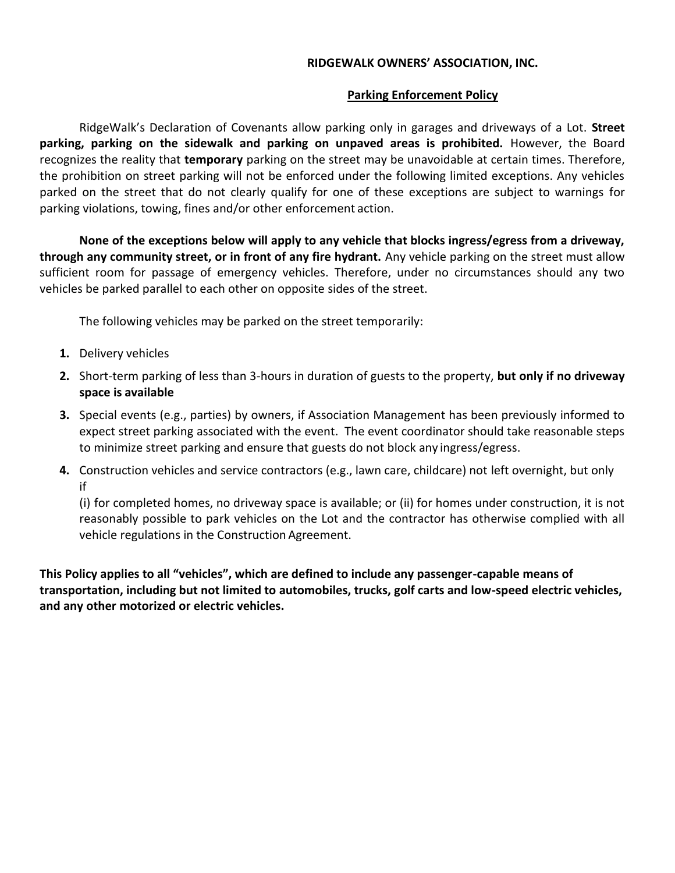### **RIDGEWALK OWNERS' ASSOCIATION, INC.**

### **Parking Enforcement Policy**

RidgeWalk's Declaration of Covenants allow parking only in garages and driveways of a Lot. **Street parking, parking on the sidewalk and parking on unpaved areas is prohibited.** However, the Board recognizes the reality that **temporary** parking on the street may be unavoidable at certain times. Therefore, the prohibition on street parking will not be enforced under the following limited exceptions. Any vehicles parked on the street that do not clearly qualify for one of these exceptions are subject to warnings for parking violations, towing, fines and/or other enforcement action.

**None of the exceptions below will apply to any vehicle that blocks ingress/egress from a driveway, through any community street, or in front of any fire hydrant.** Any vehicle parking on the street must allow sufficient room for passage of emergency vehicles. Therefore, under no circumstances should any two vehicles be parked parallel to each other on opposite sides of the street.

The following vehicles may be parked on the street temporarily:

- **1.** Delivery vehicles
- **2.** Short-term parking of less than 3-hours in duration of guests to the property, **but only if no driveway space is available**
- **3.** Special events (e.g., parties) by owners, if Association Management has been previously informed to expect street parking associated with the event. The event coordinator should take reasonable steps to minimize street parking and ensure that guests do not block any ingress/egress.
- **4.** Construction vehicles and service contractors (e.g., lawn care, childcare) not left overnight, but only if

(i) for completed homes, no driveway space is available; or (ii) for homes under construction, it is not reasonably possible to park vehicles on the Lot and the contractor has otherwise complied with all vehicle regulations in the Construction Agreement.

**This Policy applies to all "vehicles", which are defined to include any passenger-capable means of transportation, including but not limited to automobiles, trucks, golf carts and low-speed electric vehicles, and any other motorized or electric vehicles.**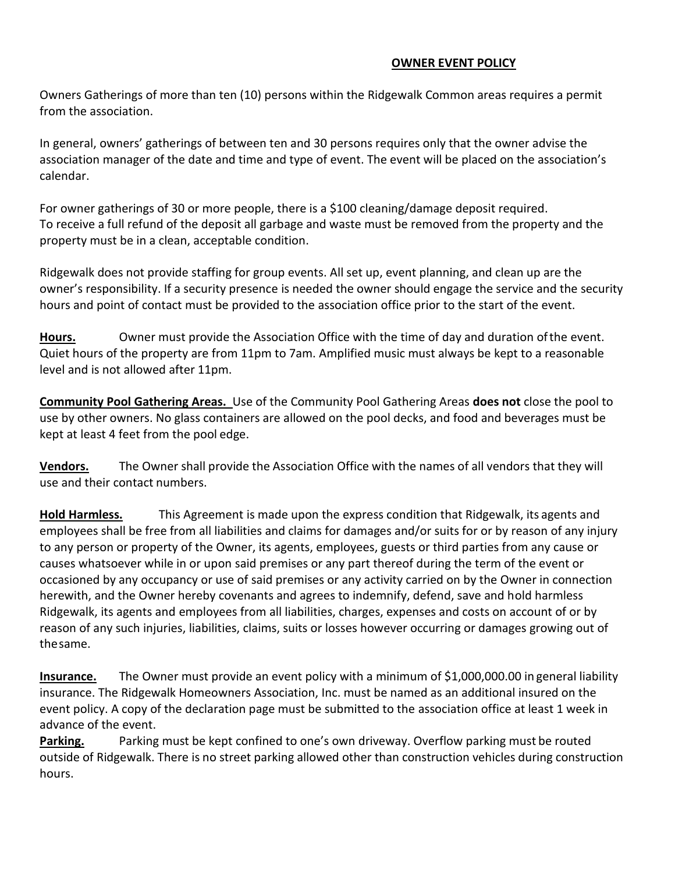### **OWNER EVENT POLICY**

Owners Gatherings of more than ten (10) persons within the Ridgewalk Common areas requires a permit from the association.

In general, owners' gatherings of between ten and 30 persons requires only that the owner advise the association manager of the date and time and type of event. The event will be placed on the association's calendar.

For owner gatherings of 30 or more people, there is a \$100 cleaning/damage deposit required. To receive a full refund of the deposit all garbage and waste must be removed from the property and the property must be in a clean, acceptable condition.

Ridgewalk does not provide staffing for group events. All set up, event planning, and clean up are the owner's responsibility. If a security presence is needed the owner should engage the service and the security hours and point of contact must be provided to the association office prior to the start of the event.

**Hours.** Owner must provide the Association Office with the time of day and duration ofthe event. Quiet hours of the property are from 11pm to 7am. Amplified music must always be kept to a reasonable level and is not allowed after 11pm.

**Community Pool Gathering Areas.** Use of the Community Pool Gathering Areas **does not** close the pool to use by other owners. No glass containers are allowed on the pool decks, and food and beverages must be kept at least 4 feet from the pool edge.

**Vendors.** The Owner shall provide the Association Office with the names of all vendors that they will use and their contact numbers.

**Hold Harmless.** This Agreement is made upon the express condition that Ridgewalk, its agents and employees shall be free from all liabilities and claims for damages and/or suits for or by reason of any injury to any person or property of the Owner, its agents, employees, guests or third parties from any cause or causes whatsoever while in or upon said premises or any part thereof during the term of the event or occasioned by any occupancy or use of said premises or any activity carried on by the Owner in connection herewith, and the Owner hereby covenants and agrees to indemnify, defend, save and hold harmless Ridgewalk, its agents and employees from all liabilities, charges, expenses and costs on account of or by reason of any such injuries, liabilities, claims, suits or losses however occurring or damages growing out of thesame.

**Insurance.** The Owner must provide an event policy with a minimum of \$1,000,000.00 in general liability insurance. The Ridgewalk Homeowners Association, Inc. must be named as an additional insured on the event policy. A copy of the declaration page must be submitted to the association office at least 1 week in advance of the event.

**Parking.** Parking must be kept confined to one's own driveway. Overflow parking must be routed outside of Ridgewalk. There is no street parking allowed other than construction vehicles during construction hours.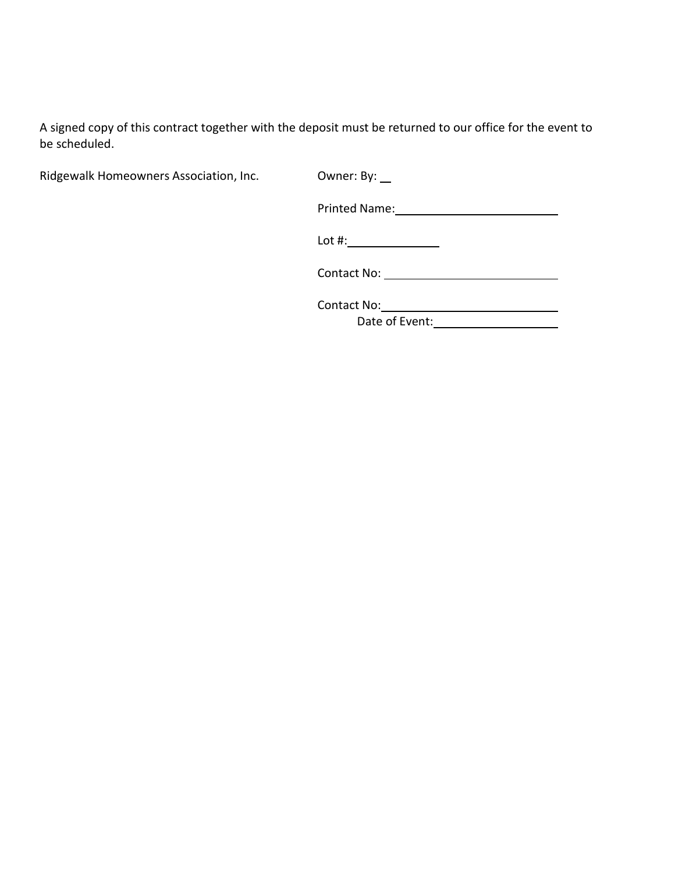A signed copy of this contract together with the deposit must be returned to our office for the event to be scheduled.

Ridgewalk Homeowners Association, Inc. 0wner: By:

Printed Name: 1988 1999

Lot #:

Contact No:

Contact No:

Date of Event: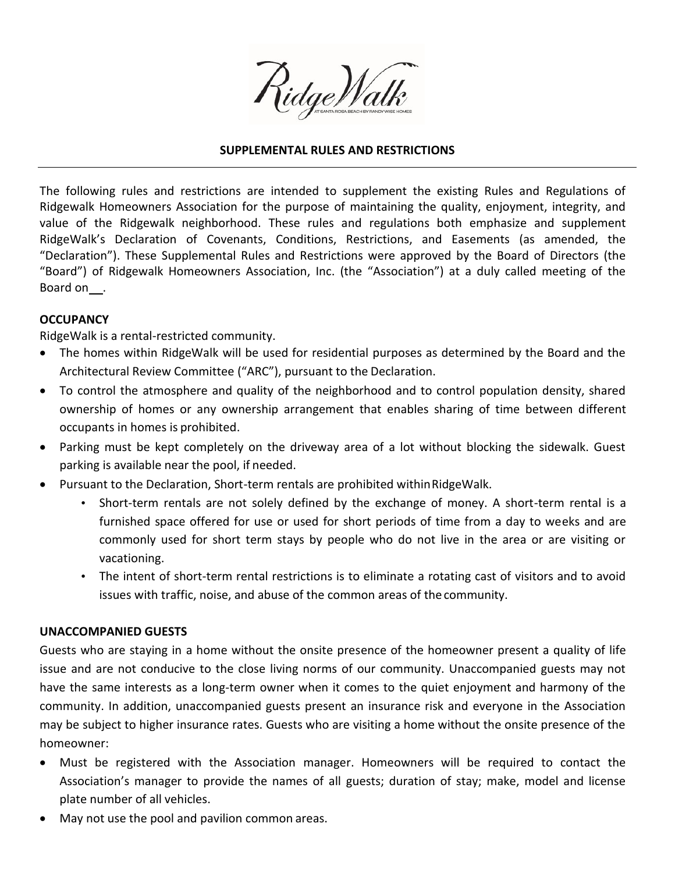

#### **SUPPLEMENTAL RULES AND RESTRICTIONS**

The following rules and restrictions are intended to supplement the existing Rules and Regulations of Ridgewalk Homeowners Association for the purpose of maintaining the quality, enjoyment, integrity, and value of the Ridgewalk neighborhood. These rules and regulations both emphasize and supplement RidgeWalk's Declaration of Covenants, Conditions, Restrictions, and Easements (as amended, the "Declaration"). These Supplemental Rules and Restrictions were approved by the Board of Directors (the "Board") of Ridgewalk Homeowners Association, Inc. (the "Association") at a duly called meeting of the Board on .

#### **OCCUPANCY**

RidgeWalk is a rental-restricted community.

- The homes within RidgeWalk will be used for residential purposes as determined by the Board and the Architectural Review Committee ("ARC"), pursuant to the Declaration.
- To control the atmosphere and quality of the neighborhood and to control population density, shared ownership of homes or any ownership arrangement that enables sharing of time between different occupants in homes is prohibited.
- Parking must be kept completely on the driveway area of a lot without blocking the sidewalk. Guest parking is available near the pool, if needed.
- Pursuant to the Declaration, Short-term rentals are prohibited withinRidgeWalk.
	- Short-term rentals are not solely defined by the exchange of money. A short-term rental is a furnished space offered for use or used for short periods of time from a day to weeks and are commonly used for short term stays by people who do not live in the area or are visiting or vacationing.
	- The intent of short-term rental restrictions is to eliminate a rotating cast of visitors and to avoid issues with traffic, noise, and abuse of the common areas of the community.

#### **UNACCOMPANIED GUESTS**

Guests who are staying in a home without the onsite presence of the homeowner present a quality of life issue and are not conducive to the close living norms of our community. Unaccompanied guests may not have the same interests as a long-term owner when it comes to the quiet enjoyment and harmony of the community. In addition, unaccompanied guests present an insurance risk and everyone in the Association may be subject to higher insurance rates. Guests who are visiting a home without the onsite presence of the homeowner:

- Must be registered with the Association manager. Homeowners will be required to contact the Association's manager to provide the names of all guests; duration of stay; make, model and license plate number of all vehicles.
- May not use the pool and pavilion common areas.